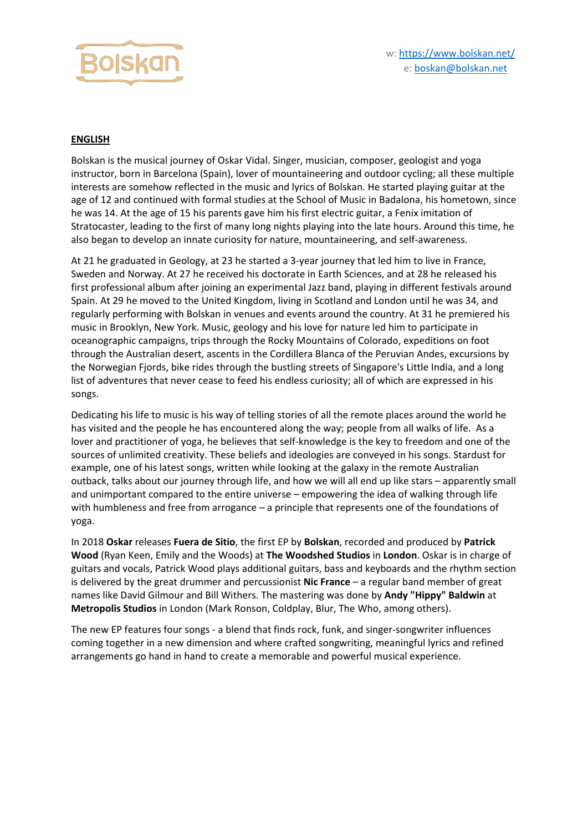

## **ENGLISH**

Bolskan is the musical journey of Oskar Vidal. Singer, musician, composer, geologist and yoga instructor, born in Barcelona (Spain), lover of mountaineering and outdoor cycling; all these multiple interests are somehow reflected in the music and lyrics of Bolskan. He started playing guitar at the age of 12 and continued with formal studies at the School of Music in Badalona, his hometown, since he was 14. At the age of 15 his parents gave him his first electric guitar, a Fenix imitation of Stratocaster, leading to the first of many long nights playing into the late hours. Around this time, he also began to develop an innate curiosity for nature, mountaineering, and self-awareness.

At 21 he graduated in Geology, at 23 he started a 3-year journey that led him to live in France, Sweden and Norway. At 27 he received his doctorate in Earth Sciences, and at 28 he released his first professional album after joining an experimental Jazz band, playing in different festivals around Spain. At 29 he moved to the United Kingdom, living in Scotland and London until he was 34, and regularly performing with Bolskan in venues and events around the country. At 31 he premiered his music in Brooklyn, New York. Music, geology and his love for nature led him to participate in oceanographic campaigns, trips through the Rocky Mountains of Colorado, expeditions on foot through the Australian desert, ascents in the Cordillera Blanca of the Peruvian Andes, excursions by the Norwegian Fjords, bike rides through the bustling streets of Singapore's Little India, and a long list of adventures that never cease to feed his endless curiosity; all of which are expressed in his songs.

Dedicating his life to music is his way of telling stories of all the remote places around the world he has visited and the people he has encountered along the way; people from all walks of life. As a lover and practitioner of yoga, he believes that self-knowledge is the key to freedom and one of the sources of unlimited creativity. These beliefs and ideologies are conveyed in his songs. Stardust for example, one of his latest songs, written while looking at the galaxy in the remote Australian outback, talks about our journey through life, and how we will all end up like stars – apparently small and unimportant compared to the entire universe – empowering the idea of walking through life with humbleness and free from arrogance – a principle that represents one of the foundations of yoga.

In 2018 **Oskar** releases **Fuera de Sitio**, the first EP by **Bolskan**, recorded and produced by **Patrick Wood** (Ryan Keen, Emily and the Woods) at **The Woodshed Studios** in **London**. Oskar is in charge of guitars and vocals, Patrick Wood plays additional guitars, bass and keyboards and the rhythm section is delivered by the great drummer and percussionist **Nic France** – a regular band member of great names like David Gilmour and Bill Withers. The mastering was done by **Andy "Hippy" Baldwin** at **Metropolis Studios** in London (Mark Ronson, Coldplay, Blur, The Who, among others).

The new EP features four songs - a blend that finds rock, funk, and singer-songwriter influences coming together in a new dimension and where crafted songwriting, meaningful lyrics and refined arrangements go hand in hand to create a memorable and powerful musical experience.